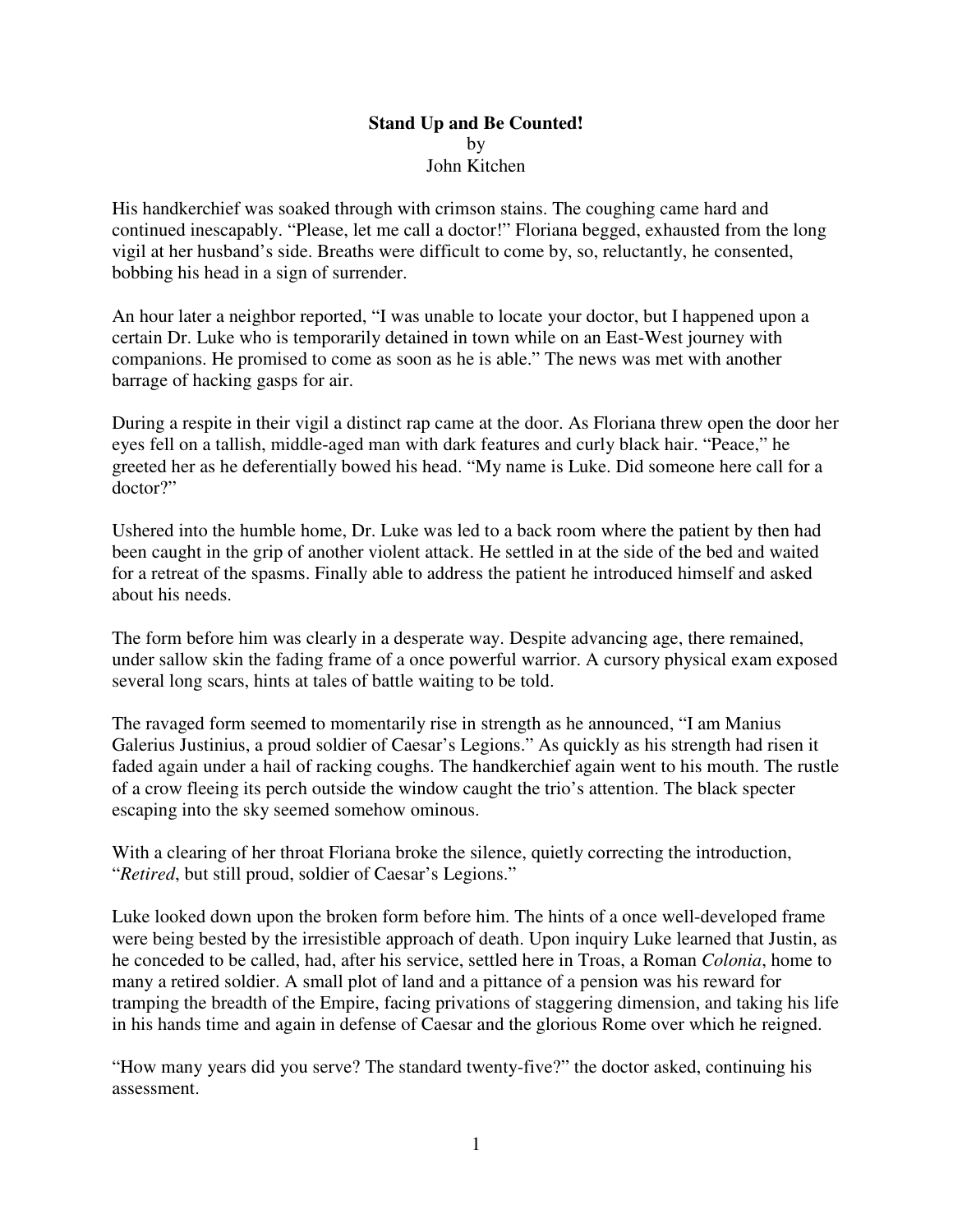## **Stand Up and Be Counted!**  by John Kitchen

His handkerchief was soaked through with crimson stains. The coughing came hard and continued inescapably. "Please, let me call a doctor!" Floriana begged, exhausted from the long vigil at her husband's side. Breaths were difficult to come by, so, reluctantly, he consented, bobbing his head in a sign of surrender.

An hour later a neighbor reported, "I was unable to locate your doctor, but I happened upon a certain Dr. Luke who is temporarily detained in town while on an East-West journey with companions. He promised to come as soon as he is able." The news was met with another barrage of hacking gasps for air.

During a respite in their vigil a distinct rap came at the door. As Floriana threw open the door her eyes fell on a tallish, middle-aged man with dark features and curly black hair. "Peace," he greeted her as he deferentially bowed his head. "My name is Luke. Did someone here call for a doctor?"

Ushered into the humble home, Dr. Luke was led to a back room where the patient by then had been caught in the grip of another violent attack. He settled in at the side of the bed and waited for a retreat of the spasms. Finally able to address the patient he introduced himself and asked about his needs.

The form before him was clearly in a desperate way. Despite advancing age, there remained, under sallow skin the fading frame of a once powerful warrior. A cursory physical exam exposed several long scars, hints at tales of battle waiting to be told.

The ravaged form seemed to momentarily rise in strength as he announced, "I am Manius Galerius Justinius, a proud soldier of Caesar's Legions." As quickly as his strength had risen it faded again under a hail of racking coughs. The handkerchief again went to his mouth. The rustle of a crow fleeing its perch outside the window caught the trio's attention. The black specter escaping into the sky seemed somehow ominous.

With a clearing of her throat Floriana broke the silence, quietly correcting the introduction, "*Retired*, but still proud, soldier of Caesar's Legions."

Luke looked down upon the broken form before him. The hints of a once well-developed frame were being bested by the irresistible approach of death. Upon inquiry Luke learned that Justin, as he conceded to be called, had, after his service, settled here in Troas, a Roman *Colonia*, home to many a retired soldier. A small plot of land and a pittance of a pension was his reward for tramping the breadth of the Empire, facing privations of staggering dimension, and taking his life in his hands time and again in defense of Caesar and the glorious Rome over which he reigned.

"How many years did you serve? The standard twenty-five?" the doctor asked, continuing his assessment.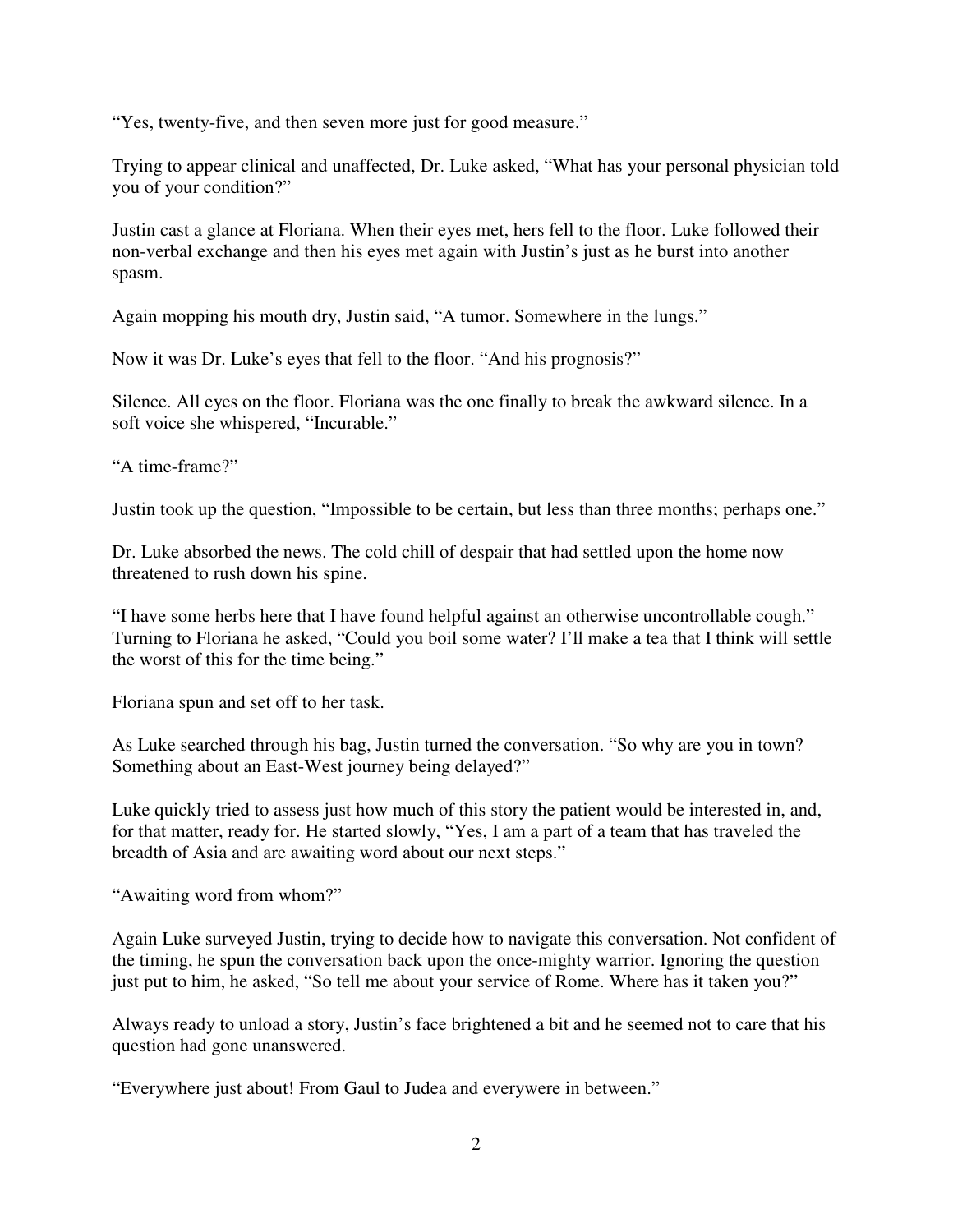"Yes, twenty-five, and then seven more just for good measure."

Trying to appear clinical and unaffected, Dr. Luke asked, "What has your personal physician told you of your condition?"

Justin cast a glance at Floriana. When their eyes met, hers fell to the floor. Luke followed their non-verbal exchange and then his eyes met again with Justin's just as he burst into another spasm.

Again mopping his mouth dry, Justin said, "A tumor. Somewhere in the lungs."

Now it was Dr. Luke's eyes that fell to the floor. "And his prognosis?"

Silence. All eyes on the floor. Floriana was the one finally to break the awkward silence. In a soft voice she whispered, "Incurable."

"A time-frame?"

Justin took up the question, "Impossible to be certain, but less than three months; perhaps one."

Dr. Luke absorbed the news. The cold chill of despair that had settled upon the home now threatened to rush down his spine.

"I have some herbs here that I have found helpful against an otherwise uncontrollable cough." Turning to Floriana he asked, "Could you boil some water? I'll make a tea that I think will settle the worst of this for the time being."

Floriana spun and set off to her task.

As Luke searched through his bag, Justin turned the conversation. "So why are you in town? Something about an East-West journey being delayed?"

Luke quickly tried to assess just how much of this story the patient would be interested in, and, for that matter, ready for. He started slowly, "Yes, I am a part of a team that has traveled the breadth of Asia and are awaiting word about our next steps."

"Awaiting word from whom?"

Again Luke surveyed Justin, trying to decide how to navigate this conversation. Not confident of the timing, he spun the conversation back upon the once-mighty warrior. Ignoring the question just put to him, he asked, "So tell me about your service of Rome. Where has it taken you?"

Always ready to unload a story, Justin's face brightened a bit and he seemed not to care that his question had gone unanswered.

"Everywhere just about! From Gaul to Judea and everywere in between."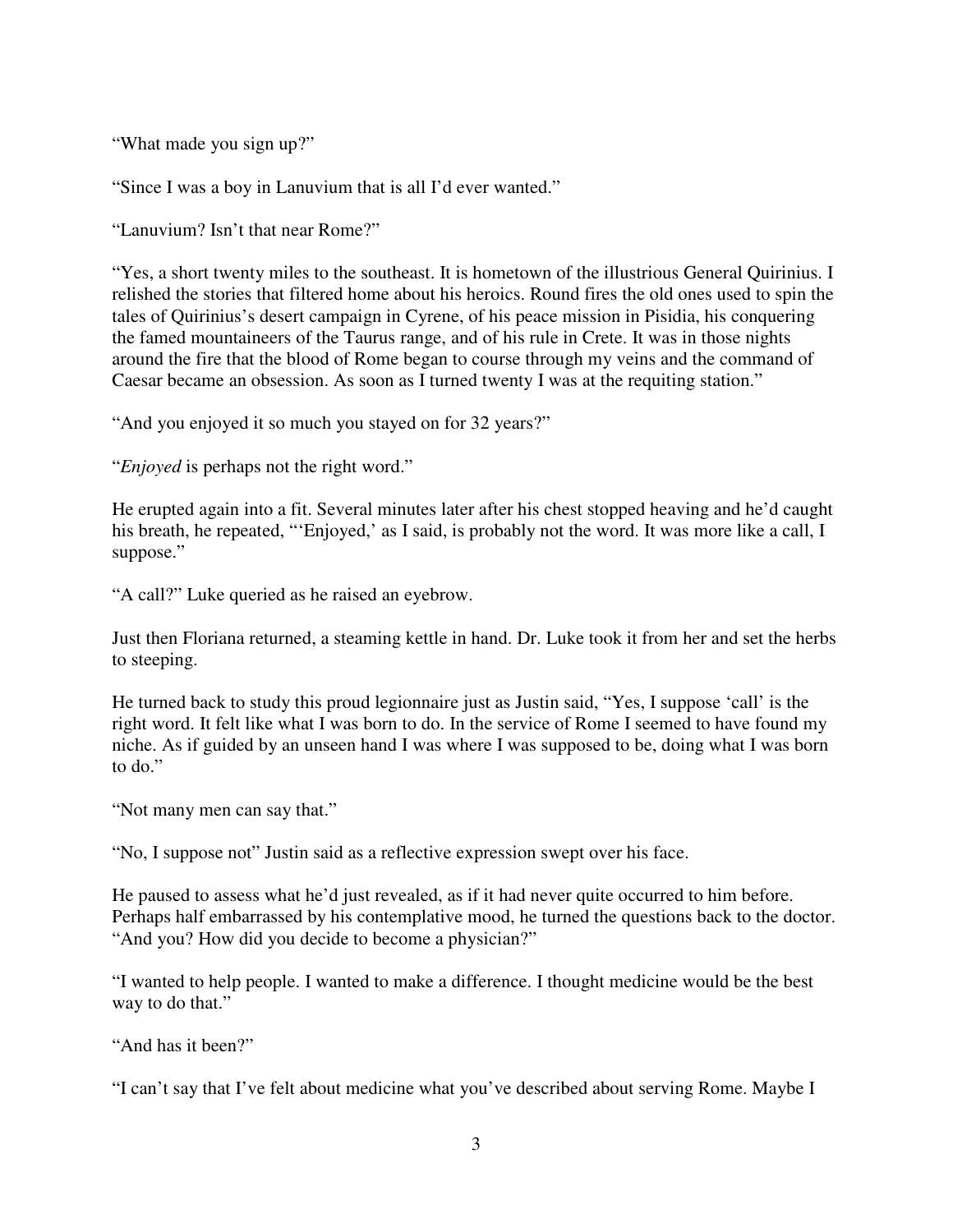"What made you sign up?"

"Since I was a boy in Lanuvium that is all I'd ever wanted."

"Lanuvium? Isn't that near Rome?"

"Yes, a short twenty miles to the southeast. It is hometown of the illustrious General Quirinius. I relished the stories that filtered home about his heroics. Round fires the old ones used to spin the tales of Quirinius's desert campaign in Cyrene, of his peace mission in Pisidia, his conquering the famed mountaineers of the Taurus range, and of his rule in Crete. It was in those nights around the fire that the blood of Rome began to course through my veins and the command of Caesar became an obsession. As soon as I turned twenty I was at the requiting station."

"And you enjoyed it so much you stayed on for 32 years?"

"*Enjoyed* is perhaps not the right word."

He erupted again into a fit. Several minutes later after his chest stopped heaving and he'd caught his breath, he repeated, "'Enjoyed,' as I said, is probably not the word. It was more like a call, I suppose."

"A call?" Luke queried as he raised an eyebrow.

Just then Floriana returned, a steaming kettle in hand. Dr. Luke took it from her and set the herbs to steeping.

He turned back to study this proud legionnaire just as Justin said, "Yes, I suppose 'call' is the right word. It felt like what I was born to do. In the service of Rome I seemed to have found my niche. As if guided by an unseen hand I was where I was supposed to be, doing what I was born to do."

"Not many men can say that."

"No, I suppose not" Justin said as a reflective expression swept over his face.

He paused to assess what he'd just revealed, as if it had never quite occurred to him before. Perhaps half embarrassed by his contemplative mood, he turned the questions back to the doctor. "And you? How did you decide to become a physician?"

"I wanted to help people. I wanted to make a difference. I thought medicine would be the best way to do that."

"And has it been?"

"I can't say that I've felt about medicine what you've described about serving Rome. Maybe I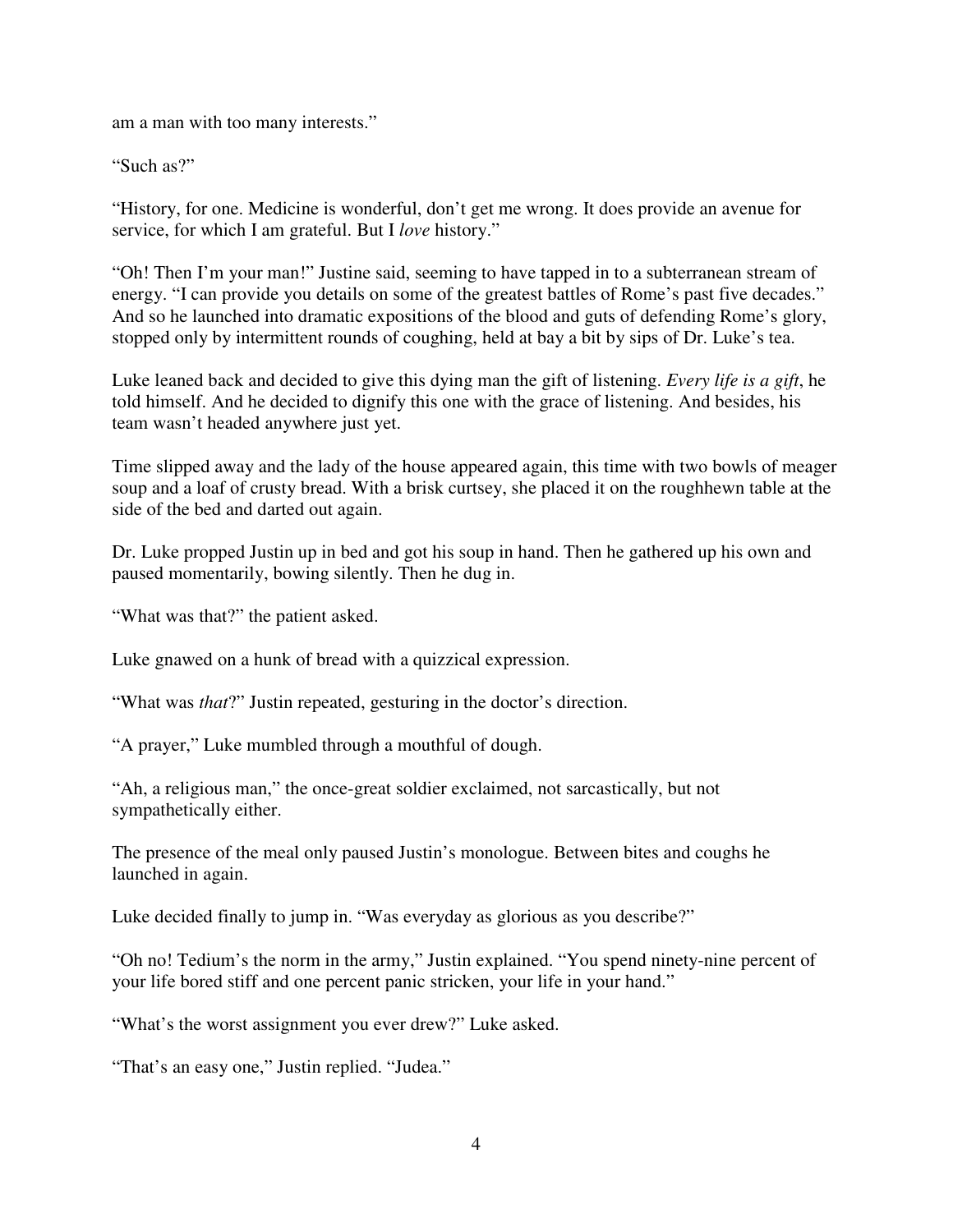am a man with too many interests."

"Such as?"

"History, for one. Medicine is wonderful, don't get me wrong. It does provide an avenue for service, for which I am grateful. But I *love* history."

"Oh! Then I'm your man!" Justine said, seeming to have tapped in to a subterranean stream of energy. "I can provide you details on some of the greatest battles of Rome's past five decades." And so he launched into dramatic expositions of the blood and guts of defending Rome's glory, stopped only by intermittent rounds of coughing, held at bay a bit by sips of Dr. Luke's tea.

Luke leaned back and decided to give this dying man the gift of listening. *Every life is a gift*, he told himself. And he decided to dignify this one with the grace of listening. And besides, his team wasn't headed anywhere just yet.

Time slipped away and the lady of the house appeared again, this time with two bowls of meager soup and a loaf of crusty bread. With a brisk curtsey, she placed it on the roughhewn table at the side of the bed and darted out again.

Dr. Luke propped Justin up in bed and got his soup in hand. Then he gathered up his own and paused momentarily, bowing silently. Then he dug in.

"What was that?" the patient asked.

Luke gnawed on a hunk of bread with a quizzical expression.

"What was *that*?" Justin repeated, gesturing in the doctor's direction.

"A prayer," Luke mumbled through a mouthful of dough.

"Ah, a religious man," the once-great soldier exclaimed, not sarcastically, but not sympathetically either.

The presence of the meal only paused Justin's monologue. Between bites and coughs he launched in again.

Luke decided finally to jump in. "Was everyday as glorious as you describe?"

"Oh no! Tedium's the norm in the army," Justin explained. "You spend ninety-nine percent of your life bored stiff and one percent panic stricken, your life in your hand."

"What's the worst assignment you ever drew?" Luke asked.

"That's an easy one," Justin replied. "Judea."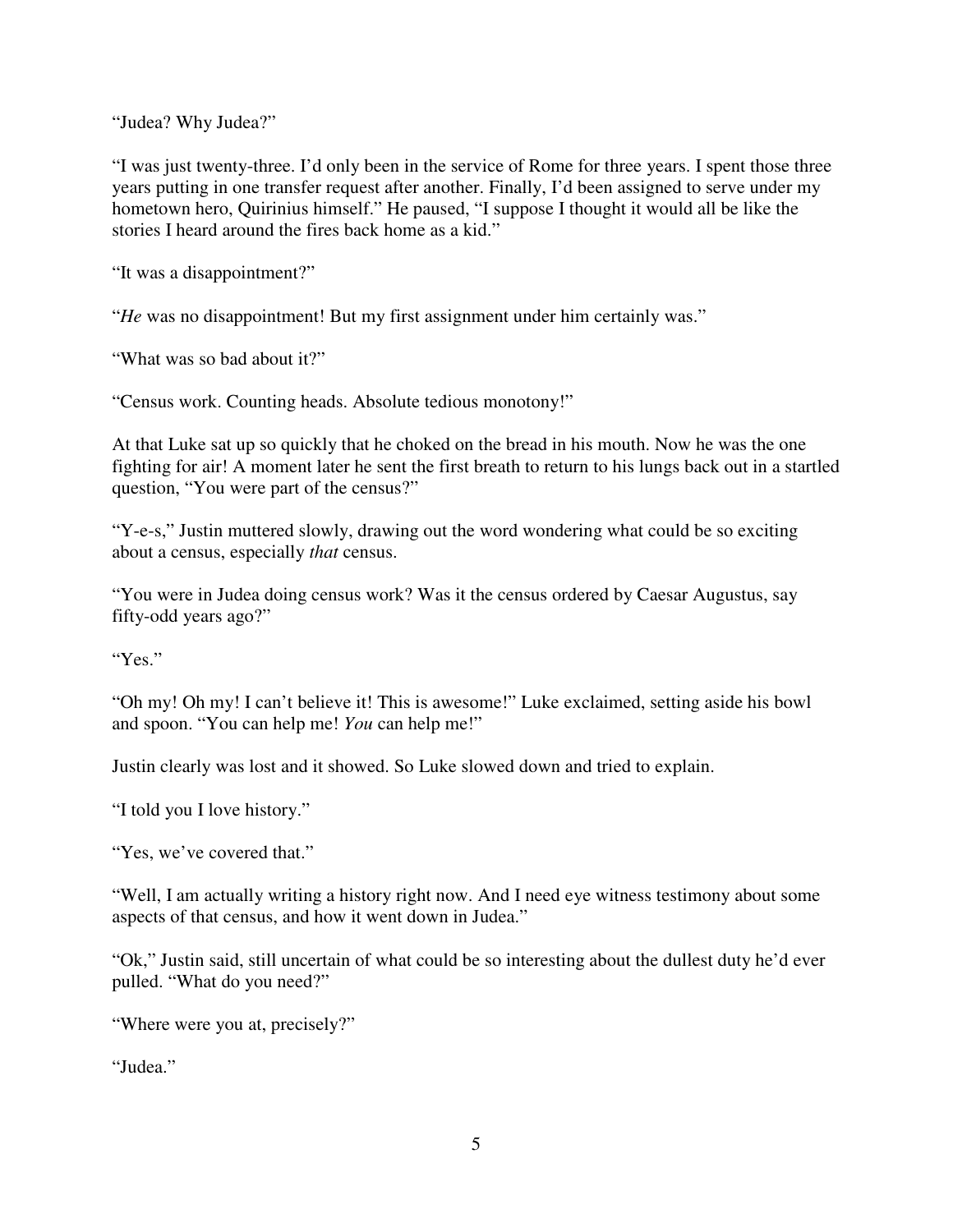"Judea? Why Judea?"

"I was just twenty-three. I'd only been in the service of Rome for three years. I spent those three years putting in one transfer request after another. Finally, I'd been assigned to serve under my hometown hero, Quirinius himself." He paused, "I suppose I thought it would all be like the stories I heard around the fires back home as a kid."

"It was a disappointment?"

"*He* was no disappointment! But my first assignment under him certainly was."

"What was so bad about it?"

"Census work. Counting heads. Absolute tedious monotony!"

At that Luke sat up so quickly that he choked on the bread in his mouth. Now he was the one fighting for air! A moment later he sent the first breath to return to his lungs back out in a startled question, "You were part of the census?"

"Y-e-s," Justin muttered slowly, drawing out the word wondering what could be so exciting about a census, especially *that* census.

"You were in Judea doing census work? Was it the census ordered by Caesar Augustus, say fifty-odd years ago?"

"Yes."

"Oh my! Oh my! I can't believe it! This is awesome!" Luke exclaimed, setting aside his bowl and spoon. "You can help me! *You* can help me!"

Justin clearly was lost and it showed. So Luke slowed down and tried to explain.

"I told you I love history."

"Yes, we've covered that."

"Well, I am actually writing a history right now. And I need eye witness testimony about some aspects of that census, and how it went down in Judea."

"Ok," Justin said, still uncertain of what could be so interesting about the dullest duty he'd ever pulled. "What do you need?"

"Where were you at, precisely?"

"Judea."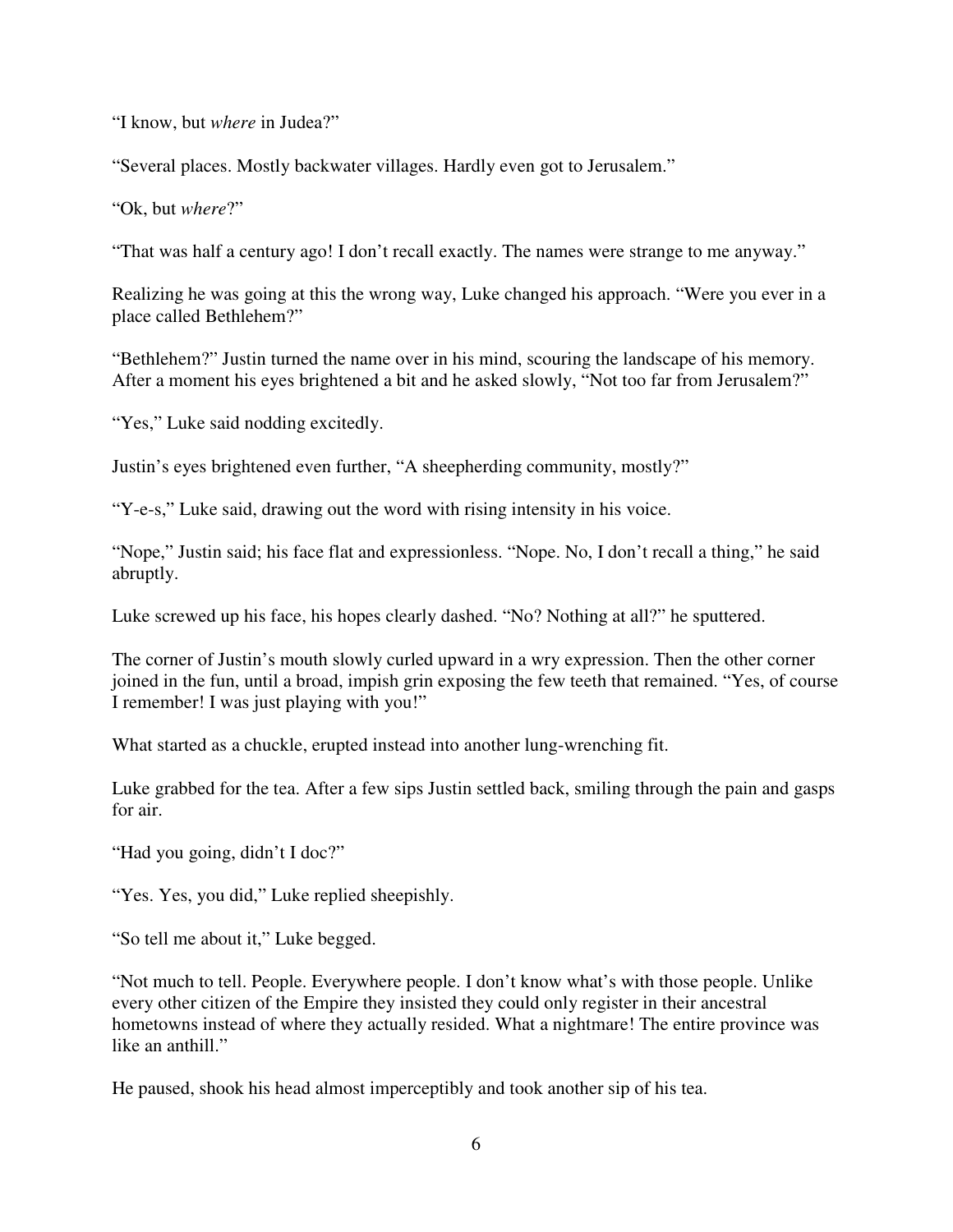"I know, but *where* in Judea?"

"Several places. Mostly backwater villages. Hardly even got to Jerusalem."

"Ok, but *where*?"

"That was half a century ago! I don't recall exactly. The names were strange to me anyway."

Realizing he was going at this the wrong way, Luke changed his approach. "Were you ever in a place called Bethlehem?"

"Bethlehem?" Justin turned the name over in his mind, scouring the landscape of his memory. After a moment his eyes brightened a bit and he asked slowly, "Not too far from Jerusalem?"

"Yes," Luke said nodding excitedly.

Justin's eyes brightened even further, "A sheepherding community, mostly?"

"Y-e-s," Luke said, drawing out the word with rising intensity in his voice.

"Nope," Justin said; his face flat and expressionless. "Nope. No, I don't recall a thing," he said abruptly.

Luke screwed up his face, his hopes clearly dashed. "No? Nothing at all?" he sputtered.

The corner of Justin's mouth slowly curled upward in a wry expression. Then the other corner joined in the fun, until a broad, impish grin exposing the few teeth that remained. "Yes, of course I remember! I was just playing with you!"

What started as a chuckle, erupted instead into another lung-wrenching fit.

Luke grabbed for the tea. After a few sips Justin settled back, smiling through the pain and gasps for air.

"Had you going, didn't I doc?"

"Yes. Yes, you did," Luke replied sheepishly.

"So tell me about it," Luke begged.

"Not much to tell. People. Everywhere people. I don't know what's with those people. Unlike every other citizen of the Empire they insisted they could only register in their ancestral hometowns instead of where they actually resided. What a nightmare! The entire province was like an anthill."

He paused, shook his head almost imperceptibly and took another sip of his tea.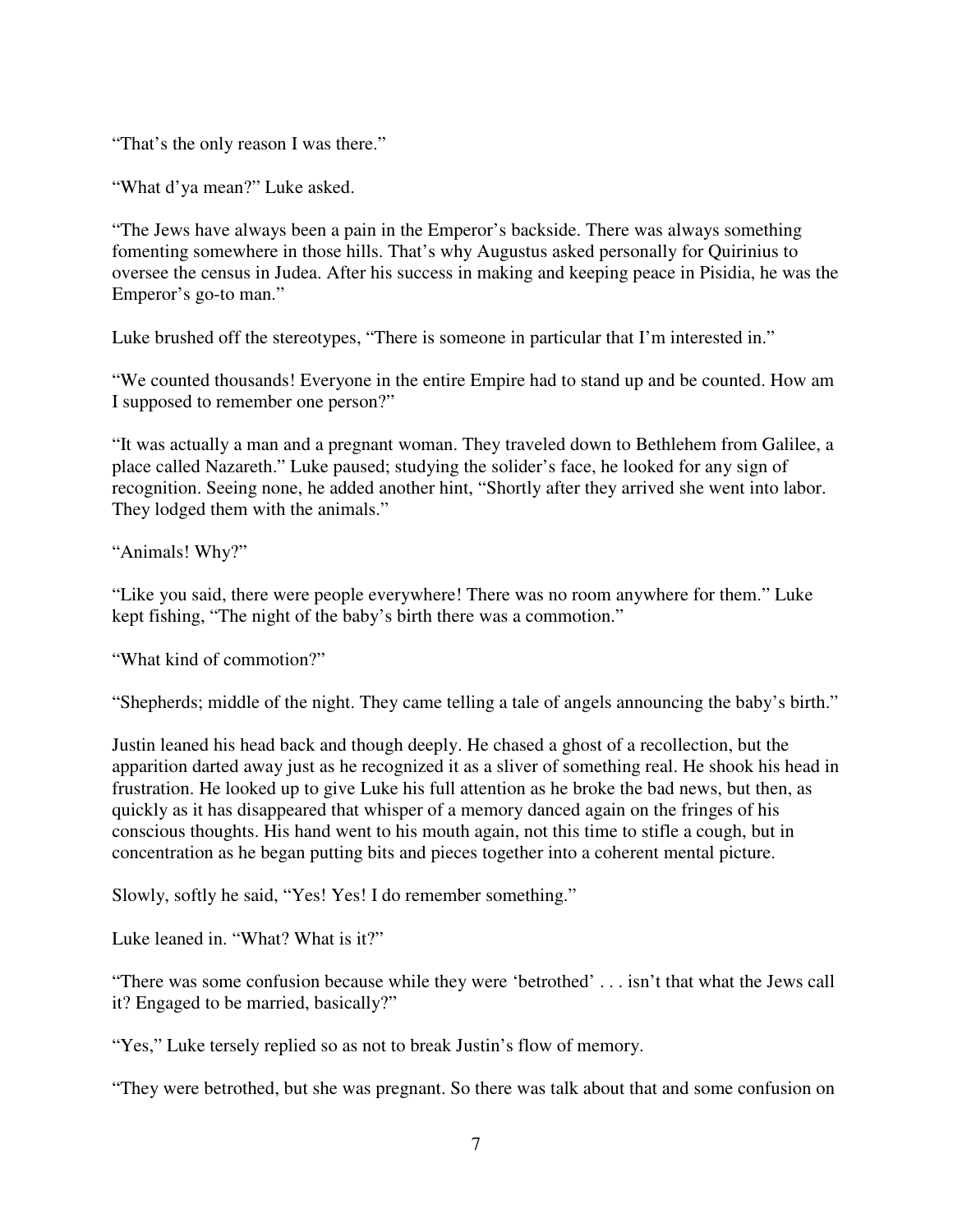"That's the only reason I was there."

"What d'ya mean?" Luke asked.

"The Jews have always been a pain in the Emperor's backside. There was always something fomenting somewhere in those hills. That's why Augustus asked personally for Quirinius to oversee the census in Judea. After his success in making and keeping peace in Pisidia, he was the Emperor's go-to man."

Luke brushed off the stereotypes, "There is someone in particular that I'm interested in."

"We counted thousands! Everyone in the entire Empire had to stand up and be counted. How am I supposed to remember one person?"

"It was actually a man and a pregnant woman. They traveled down to Bethlehem from Galilee, a place called Nazareth." Luke paused; studying the solider's face, he looked for any sign of recognition. Seeing none, he added another hint, "Shortly after they arrived she went into labor. They lodged them with the animals."

"Animals! Why?"

"Like you said, there were people everywhere! There was no room anywhere for them." Luke kept fishing, "The night of the baby's birth there was a commotion."

"What kind of commotion?"

"Shepherds; middle of the night. They came telling a tale of angels announcing the baby's birth."

Justin leaned his head back and though deeply. He chased a ghost of a recollection, but the apparition darted away just as he recognized it as a sliver of something real. He shook his head in frustration. He looked up to give Luke his full attention as he broke the bad news, but then, as quickly as it has disappeared that whisper of a memory danced again on the fringes of his conscious thoughts. His hand went to his mouth again, not this time to stifle a cough, but in concentration as he began putting bits and pieces together into a coherent mental picture.

Slowly, softly he said, "Yes! Yes! I do remember something."

Luke leaned in. "What? What is it?"

"There was some confusion because while they were 'betrothed' . . . isn't that what the Jews call it? Engaged to be married, basically?"

"Yes," Luke tersely replied so as not to break Justin's flow of memory.

"They were betrothed, but she was pregnant. So there was talk about that and some confusion on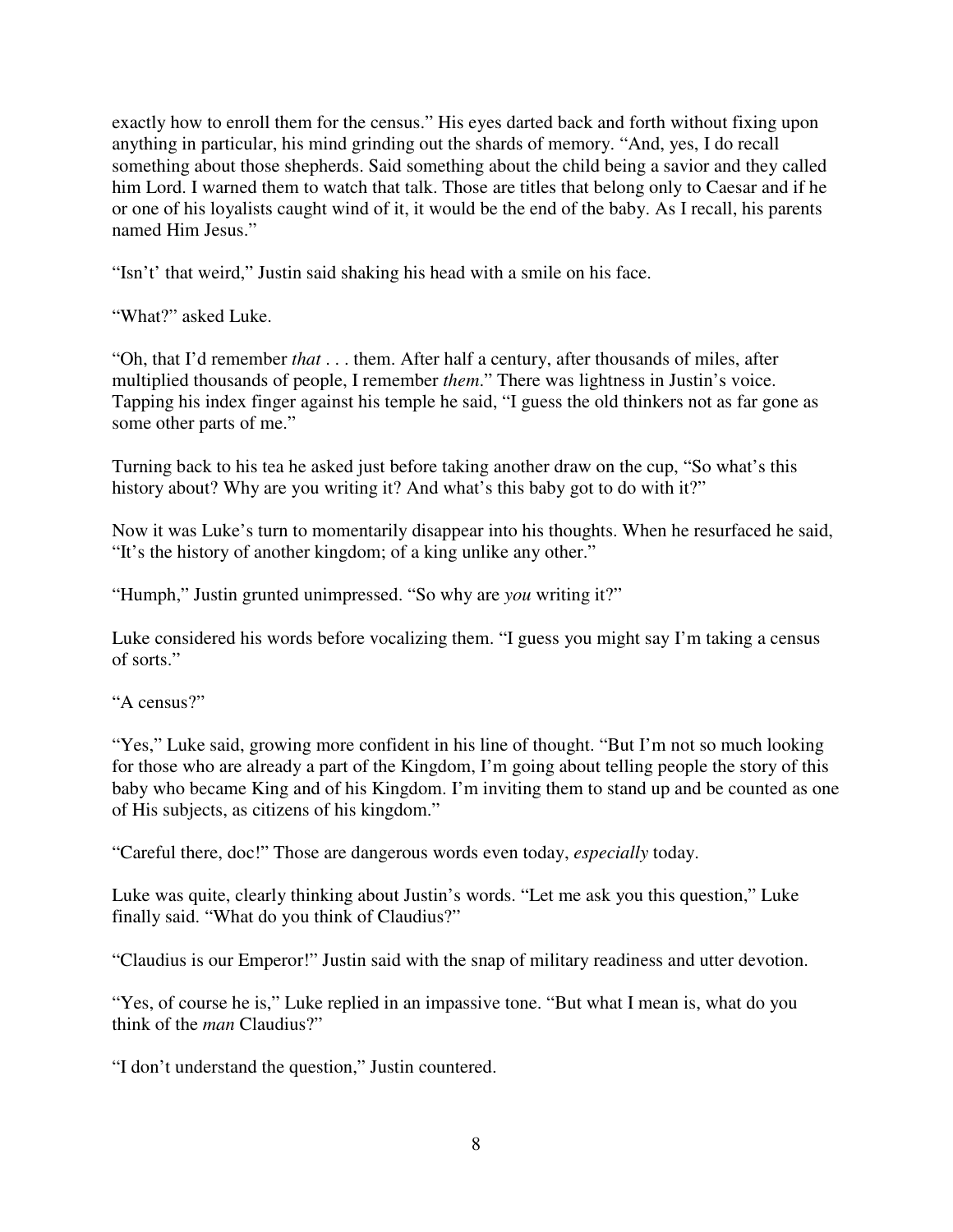exactly how to enroll them for the census." His eyes darted back and forth without fixing upon anything in particular, his mind grinding out the shards of memory. "And, yes, I do recall something about those shepherds. Said something about the child being a savior and they called him Lord. I warned them to watch that talk. Those are titles that belong only to Caesar and if he or one of his loyalists caught wind of it, it would be the end of the baby. As I recall, his parents named Him Jesus."

"Isn't' that weird," Justin said shaking his head with a smile on his face.

"What?" asked Luke.

"Oh, that I'd remember *that* . . . them. After half a century, after thousands of miles, after multiplied thousands of people, I remember *them*." There was lightness in Justin's voice. Tapping his index finger against his temple he said, "I guess the old thinkers not as far gone as some other parts of me."

Turning back to his tea he asked just before taking another draw on the cup, "So what's this history about? Why are you writing it? And what's this baby got to do with it?"

Now it was Luke's turn to momentarily disappear into his thoughts. When he resurfaced he said, "It's the history of another kingdom; of a king unlike any other."

"Humph," Justin grunted unimpressed. "So why are *you* writing it?"

Luke considered his words before vocalizing them. "I guess you might say I'm taking a census of sorts."

"A census?"

"Yes," Luke said, growing more confident in his line of thought. "But I'm not so much looking for those who are already a part of the Kingdom, I'm going about telling people the story of this baby who became King and of his Kingdom. I'm inviting them to stand up and be counted as one of His subjects, as citizens of his kingdom."

"Careful there, doc!" Those are dangerous words even today, *especially* today.

Luke was quite, clearly thinking about Justin's words. "Let me ask you this question," Luke finally said. "What do you think of Claudius?"

"Claudius is our Emperor!" Justin said with the snap of military readiness and utter devotion.

"Yes, of course he is," Luke replied in an impassive tone. "But what I mean is, what do you think of the *man* Claudius?"

"I don't understand the question," Justin countered.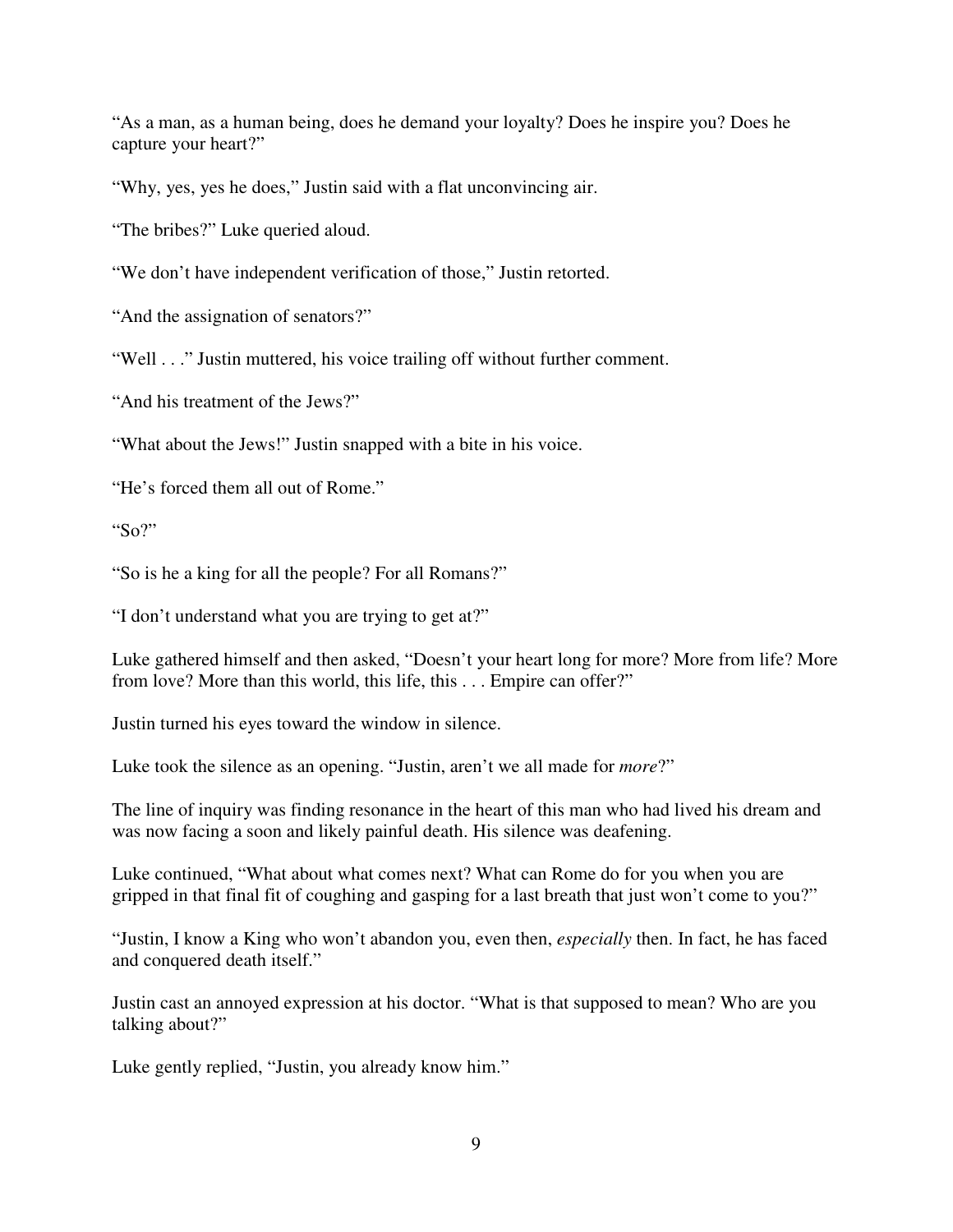"As a man, as a human being, does he demand your loyalty? Does he inspire you? Does he capture your heart?"

"Why, yes, yes he does," Justin said with a flat unconvincing air.

"The bribes?" Luke queried aloud.

"We don't have independent verification of those," Justin retorted.

"And the assignation of senators?"

"Well . . ." Justin muttered, his voice trailing off without further comment.

"And his treatment of the Jews?"

"What about the Jews!" Justin snapped with a bite in his voice.

"He's forced them all out of Rome."

"So?"

"So is he a king for all the people? For all Romans?"

"I don't understand what you are trying to get at?"

Luke gathered himself and then asked, "Doesn't your heart long for more? More from life? More from love? More than this world, this life, this . . . Empire can offer?"

Justin turned his eyes toward the window in silence.

Luke took the silence as an opening. "Justin, aren't we all made for *more*?"

The line of inquiry was finding resonance in the heart of this man who had lived his dream and was now facing a soon and likely painful death. His silence was deafening.

Luke continued, "What about what comes next? What can Rome do for you when you are gripped in that final fit of coughing and gasping for a last breath that just won't come to you?"

"Justin, I know a King who won't abandon you, even then, *especially* then. In fact, he has faced and conquered death itself."

Justin cast an annoyed expression at his doctor. "What is that supposed to mean? Who are you talking about?"

Luke gently replied, "Justin, you already know him."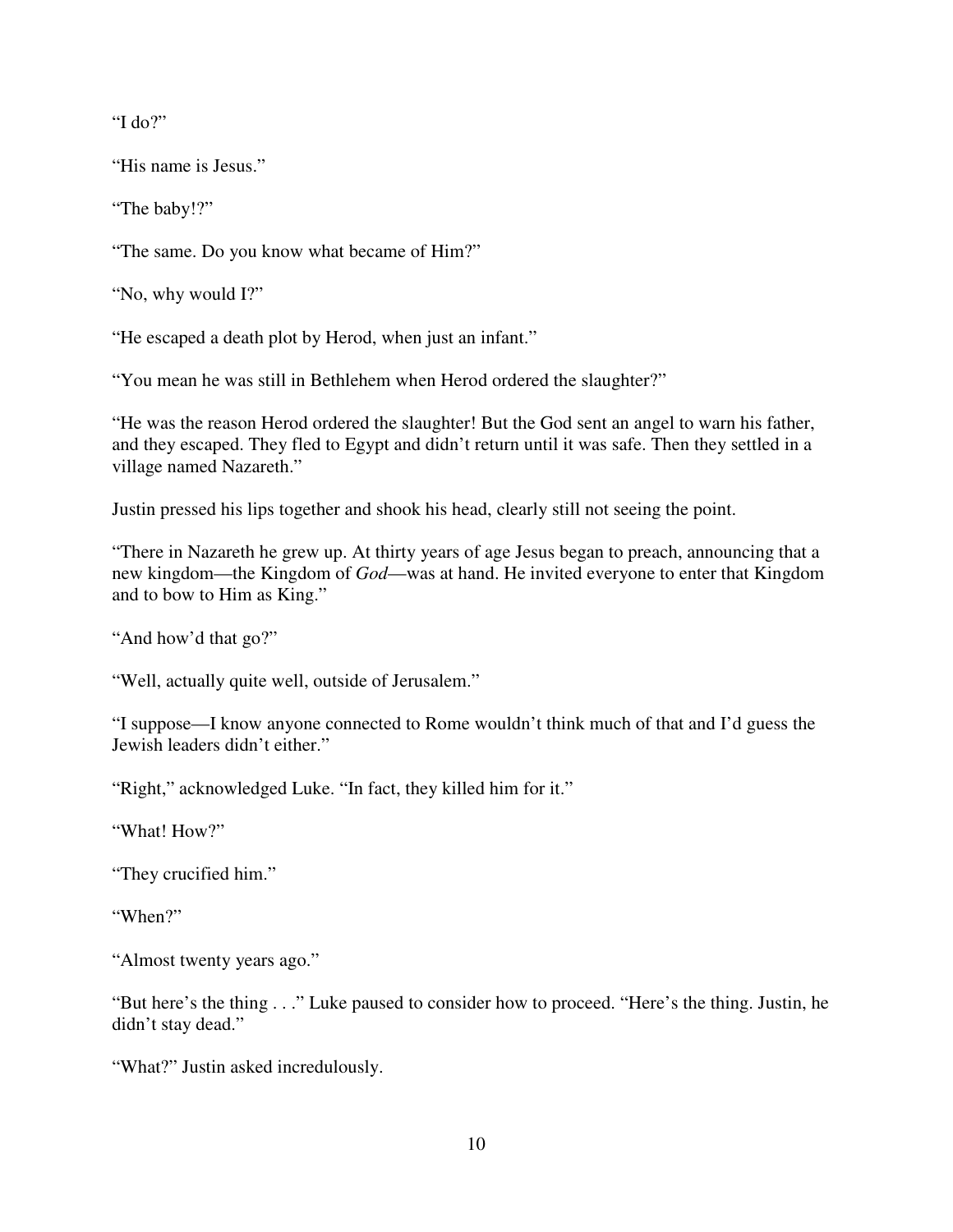"I do?"

"His name is Jesus."

"The baby!?"

"The same. Do you know what became of Him?"

"No, why would I?"

"He escaped a death plot by Herod, when just an infant."

"You mean he was still in Bethlehem when Herod ordered the slaughter?"

"He was the reason Herod ordered the slaughter! But the God sent an angel to warn his father, and they escaped. They fled to Egypt and didn't return until it was safe. Then they settled in a village named Nazareth."

Justin pressed his lips together and shook his head, clearly still not seeing the point.

"There in Nazareth he grew up. At thirty years of age Jesus began to preach, announcing that a new kingdom—the Kingdom of *God*—was at hand. He invited everyone to enter that Kingdom and to bow to Him as King."

"And how'd that go?"

"Well, actually quite well, outside of Jerusalem."

"I suppose—I know anyone connected to Rome wouldn't think much of that and I'd guess the Jewish leaders didn't either."

"Right," acknowledged Luke. "In fact, they killed him for it."

"What! How?"

"They crucified him."

"When?"

"Almost twenty years ago."

"But here's the thing . . ." Luke paused to consider how to proceed. "Here's the thing. Justin, he didn't stay dead."

"What?" Justin asked incredulously.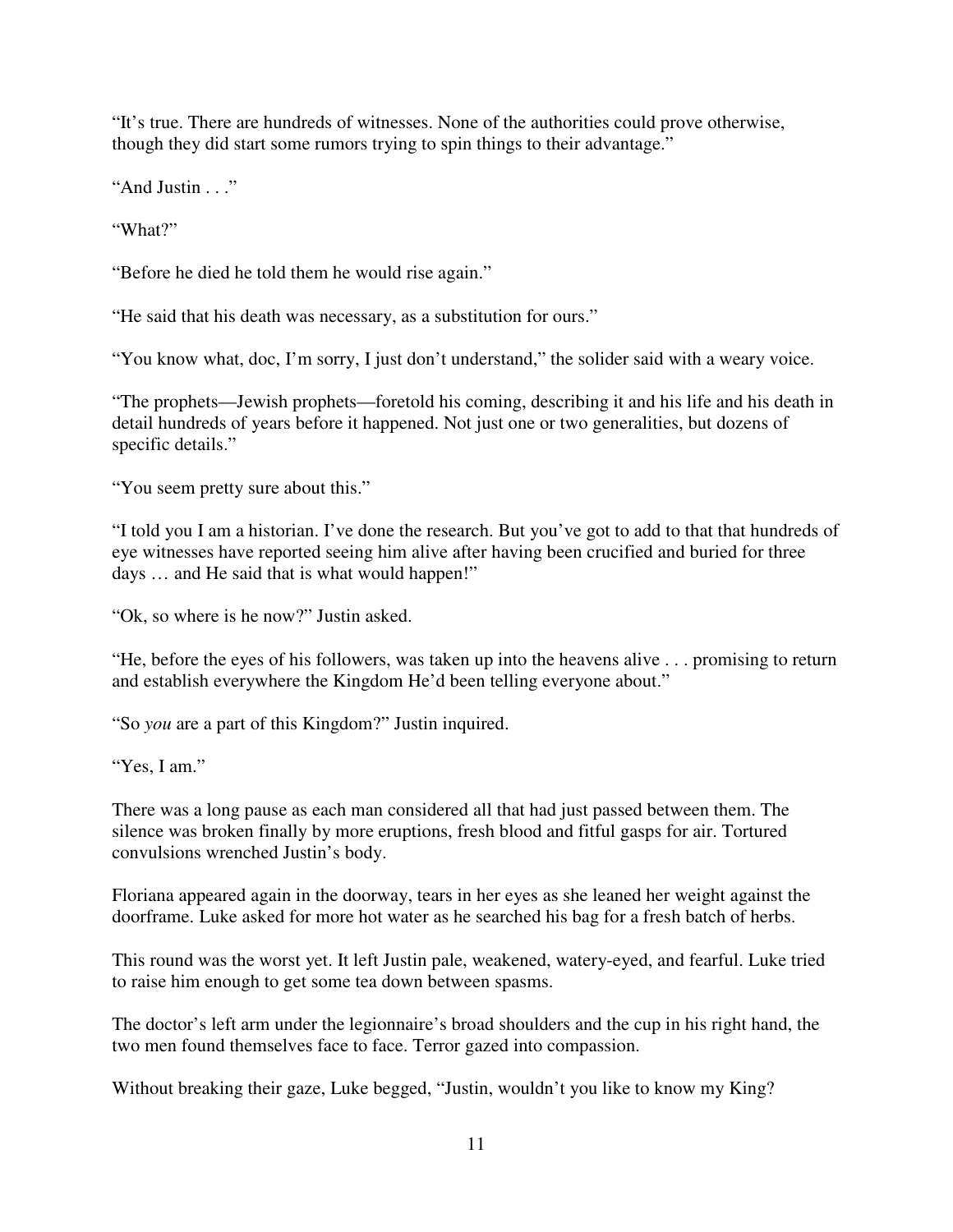"It's true. There are hundreds of witnesses. None of the authorities could prove otherwise, though they did start some rumors trying to spin things to their advantage."

"And Justin . . ."

"What?"

"Before he died he told them he would rise again."

"He said that his death was necessary, as a substitution for ours."

"You know what, doc, I'm sorry, I just don't understand," the solider said with a weary voice.

"The prophets—Jewish prophets—foretold his coming, describing it and his life and his death in detail hundreds of years before it happened. Not just one or two generalities, but dozens of specific details."

"You seem pretty sure about this."

"I told you I am a historian. I've done the research. But you've got to add to that that hundreds of eye witnesses have reported seeing him alive after having been crucified and buried for three days … and He said that is what would happen!"

"Ok, so where is he now?" Justin asked.

"He, before the eyes of his followers, was taken up into the heavens alive . . . promising to return and establish everywhere the Kingdom He'd been telling everyone about."

"So *you* are a part of this Kingdom?" Justin inquired.

"Yes, I am."

There was a long pause as each man considered all that had just passed between them. The silence was broken finally by more eruptions, fresh blood and fitful gasps for air. Tortured convulsions wrenched Justin's body.

Floriana appeared again in the doorway, tears in her eyes as she leaned her weight against the doorframe. Luke asked for more hot water as he searched his bag for a fresh batch of herbs.

This round was the worst yet. It left Justin pale, weakened, watery-eyed, and fearful. Luke tried to raise him enough to get some tea down between spasms.

The doctor's left arm under the legionnaire's broad shoulders and the cup in his right hand, the two men found themselves face to face. Terror gazed into compassion.

Without breaking their gaze, Luke begged, "Justin, wouldn't you like to know my King?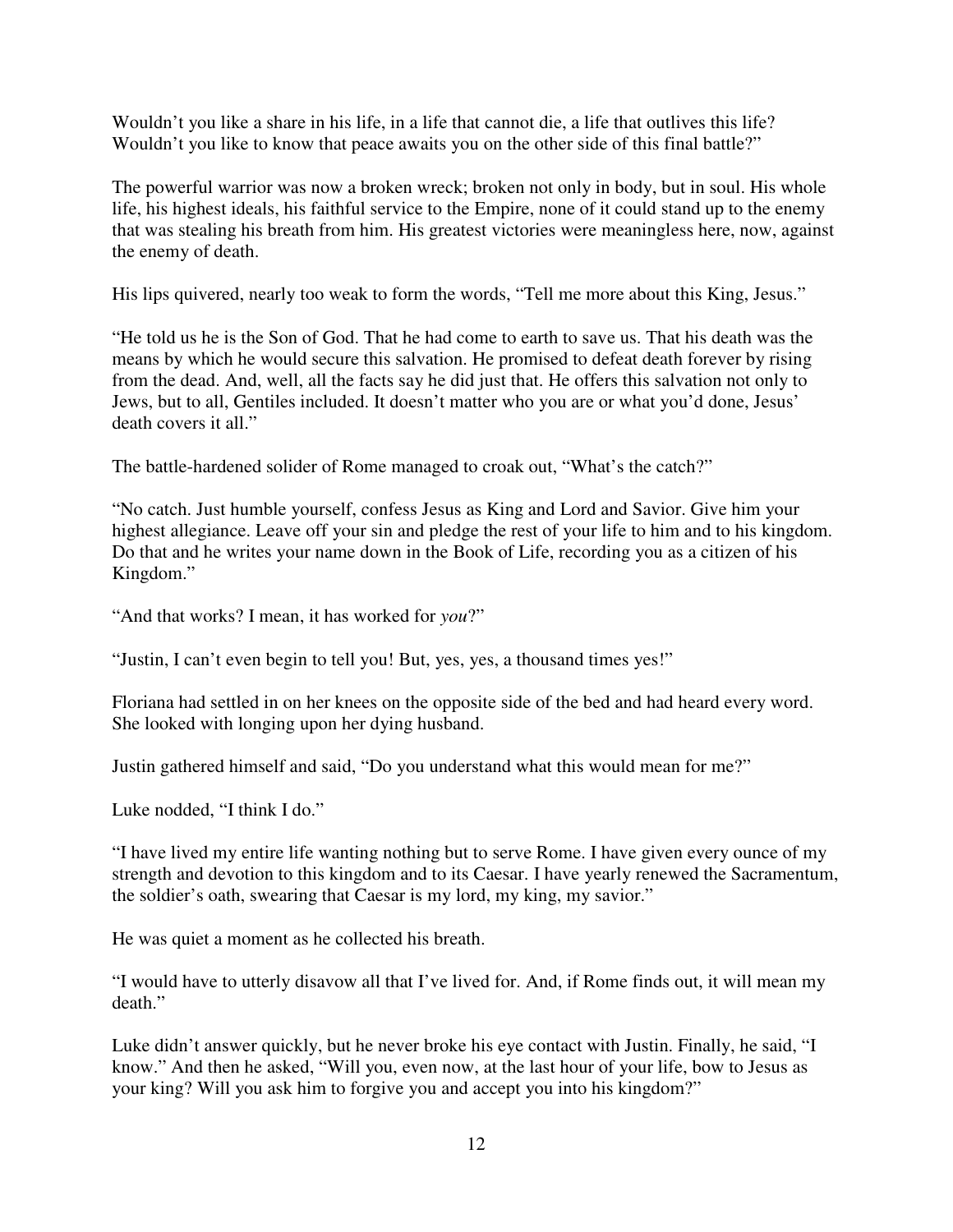Wouldn't you like a share in his life, in a life that cannot die, a life that outlives this life? Wouldn't you like to know that peace awaits you on the other side of this final battle?"

The powerful warrior was now a broken wreck; broken not only in body, but in soul. His whole life, his highest ideals, his faithful service to the Empire, none of it could stand up to the enemy that was stealing his breath from him. His greatest victories were meaningless here, now, against the enemy of death.

His lips quivered, nearly too weak to form the words, "Tell me more about this King, Jesus."

"He told us he is the Son of God. That he had come to earth to save us. That his death was the means by which he would secure this salvation. He promised to defeat death forever by rising from the dead. And, well, all the facts say he did just that. He offers this salvation not only to Jews, but to all, Gentiles included. It doesn't matter who you are or what you'd done, Jesus' death covers it all."

The battle-hardened solider of Rome managed to croak out, "What's the catch?"

"No catch. Just humble yourself, confess Jesus as King and Lord and Savior. Give him your highest allegiance. Leave off your sin and pledge the rest of your life to him and to his kingdom. Do that and he writes your name down in the Book of Life, recording you as a citizen of his Kingdom."

"And that works? I mean, it has worked for *you*?"

"Justin, I can't even begin to tell you! But, yes, yes, a thousand times yes!"

Floriana had settled in on her knees on the opposite side of the bed and had heard every word. She looked with longing upon her dying husband.

Justin gathered himself and said, "Do you understand what this would mean for me?"

Luke nodded, "I think I do."

"I have lived my entire life wanting nothing but to serve Rome. I have given every ounce of my strength and devotion to this kingdom and to its Caesar. I have yearly renewed the Sacramentum, the soldier's oath, swearing that Caesar is my lord, my king, my savior."

He was quiet a moment as he collected his breath.

"I would have to utterly disavow all that I've lived for. And, if Rome finds out, it will mean my death."

Luke didn't answer quickly, but he never broke his eye contact with Justin. Finally, he said, "I know." And then he asked, "Will you, even now, at the last hour of your life, bow to Jesus as your king? Will you ask him to forgive you and accept you into his kingdom?"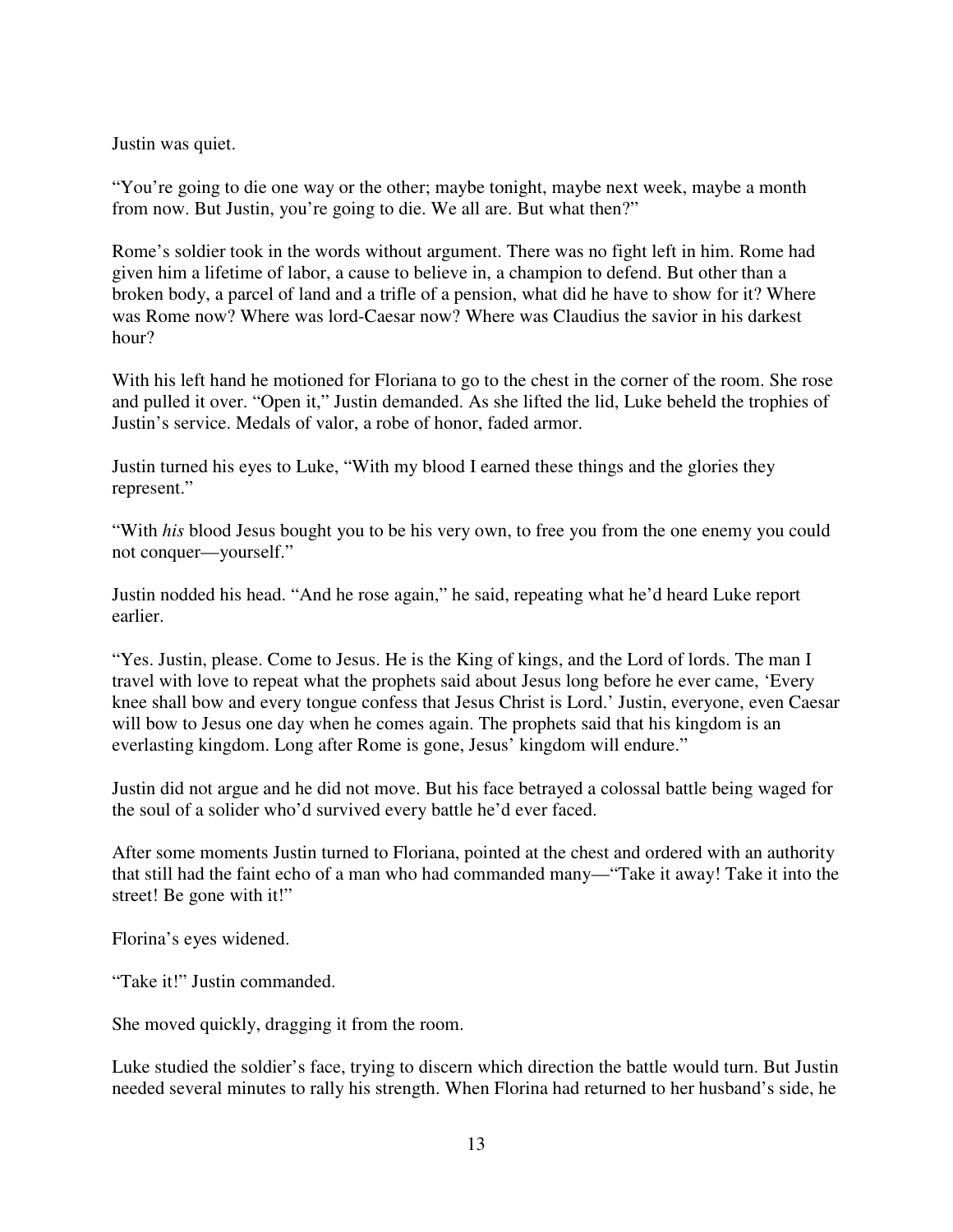Justin was quiet.

"You're going to die one way or the other; maybe tonight, maybe next week, maybe a month from now. But Justin, you're going to die. We all are. But what then?"

Rome's soldier took in the words without argument. There was no fight left in him. Rome had given him a lifetime of labor, a cause to believe in, a champion to defend. But other than a broken body, a parcel of land and a trifle of a pension, what did he have to show for it? Where was Rome now? Where was lord-Caesar now? Where was Claudius the savior in his darkest hour?

With his left hand he motioned for Floriana to go to the chest in the corner of the room. She rose and pulled it over. "Open it," Justin demanded. As she lifted the lid, Luke beheld the trophies of Justin's service. Medals of valor, a robe of honor, faded armor.

Justin turned his eyes to Luke, "With my blood I earned these things and the glories they represent."

"With *his* blood Jesus bought you to be his very own, to free you from the one enemy you could not conquer—yourself."

Justin nodded his head. "And he rose again," he said, repeating what he'd heard Luke report earlier.

"Yes. Justin, please. Come to Jesus. He is the King of kings, and the Lord of lords. The man I travel with love to repeat what the prophets said about Jesus long before he ever came, 'Every knee shall bow and every tongue confess that Jesus Christ is Lord.' Justin, everyone, even Caesar will bow to Jesus one day when he comes again. The prophets said that his kingdom is an everlasting kingdom. Long after Rome is gone, Jesus' kingdom will endure."

Justin did not argue and he did not move. But his face betrayed a colossal battle being waged for the soul of a solider who'd survived every battle he'd ever faced.

After some moments Justin turned to Floriana, pointed at the chest and ordered with an authority that still had the faint echo of a man who had commanded many—"Take it away! Take it into the street! Be gone with it!"

Florina's eyes widened.

"Take it!" Justin commanded.

She moved quickly, dragging it from the room.

Luke studied the soldier's face, trying to discern which direction the battle would turn. But Justin needed several minutes to rally his strength. When Florina had returned to her husband's side, he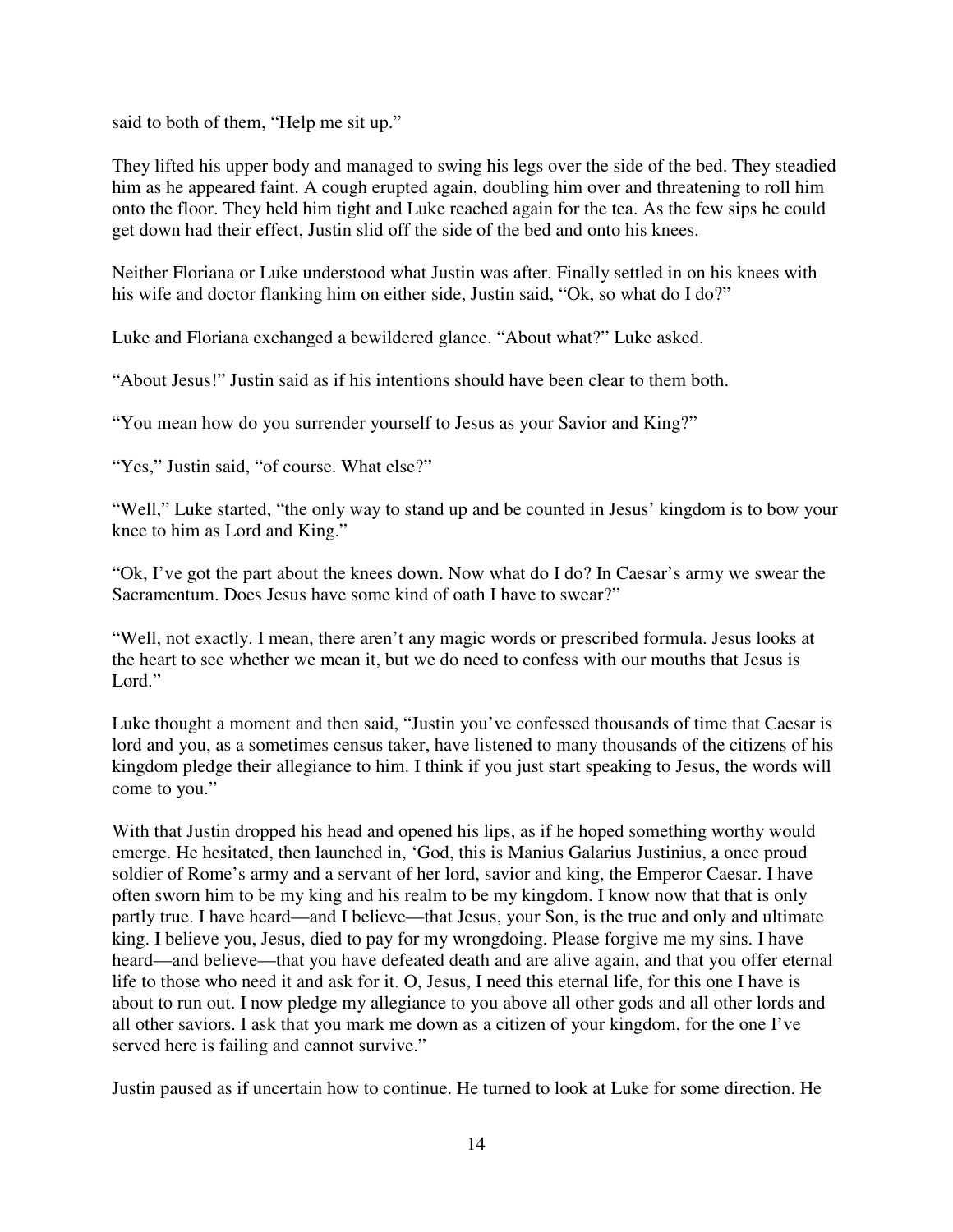said to both of them, "Help me sit up."

They lifted his upper body and managed to swing his legs over the side of the bed. They steadied him as he appeared faint. A cough erupted again, doubling him over and threatening to roll him onto the floor. They held him tight and Luke reached again for the tea. As the few sips he could get down had their effect, Justin slid off the side of the bed and onto his knees.

Neither Floriana or Luke understood what Justin was after. Finally settled in on his knees with his wife and doctor flanking him on either side, Justin said, "Ok, so what do I do?"

Luke and Floriana exchanged a bewildered glance. "About what?" Luke asked.

"About Jesus!" Justin said as if his intentions should have been clear to them both.

"You mean how do you surrender yourself to Jesus as your Savior and King?"

"Yes," Justin said, "of course. What else?"

"Well," Luke started, "the only way to stand up and be counted in Jesus' kingdom is to bow your knee to him as Lord and King."

"Ok, I've got the part about the knees down. Now what do I do? In Caesar's army we swear the Sacramentum. Does Jesus have some kind of oath I have to swear?"

"Well, not exactly. I mean, there aren't any magic words or prescribed formula. Jesus looks at the heart to see whether we mean it, but we do need to confess with our mouths that Jesus is Lord."

Luke thought a moment and then said, "Justin you've confessed thousands of time that Caesar is lord and you, as a sometimes census taker, have listened to many thousands of the citizens of his kingdom pledge their allegiance to him. I think if you just start speaking to Jesus, the words will come to you."

With that Justin dropped his head and opened his lips, as if he hoped something worthy would emerge. He hesitated, then launched in, 'God, this is Manius Galarius Justinius, a once proud soldier of Rome's army and a servant of her lord, savior and king, the Emperor Caesar. I have often sworn him to be my king and his realm to be my kingdom. I know now that that is only partly true. I have heard—and I believe—that Jesus, your Son, is the true and only and ultimate king. I believe you, Jesus, died to pay for my wrongdoing. Please forgive me my sins. I have heard—and believe—that you have defeated death and are alive again, and that you offer eternal life to those who need it and ask for it. O, Jesus, I need this eternal life, for this one I have is about to run out. I now pledge my allegiance to you above all other gods and all other lords and all other saviors. I ask that you mark me down as a citizen of your kingdom, for the one I've served here is failing and cannot survive."

Justin paused as if uncertain how to continue. He turned to look at Luke for some direction. He